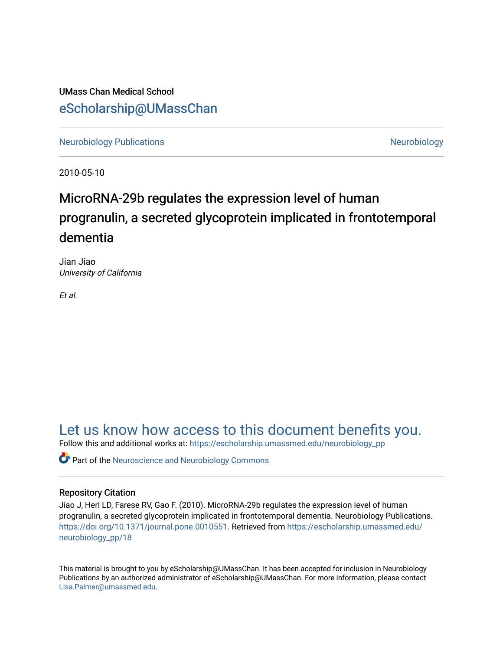UMass Chan Medical School [eScholarship@UMassChan](https://escholarship.umassmed.edu/) 

[Neurobiology Publications](https://escholarship.umassmed.edu/neurobiology_pp) **Neurobiology Neurobiology** 

2010-05-10

# MicroRNA-29b regulates the expression level of human progranulin, a secreted glycoprotein implicated in frontotemporal dementia

Jian Jiao University of California

Et al.

[Let us know how access to this document benefits you.](https://arcsapps.umassmed.edu/redcap/surveys/?s=XWRHNF9EJE) 

Follow this and additional works at: [https://escholarship.umassmed.edu/neurobiology\\_pp](https://escholarship.umassmed.edu/neurobiology_pp?utm_source=escholarship.umassmed.edu%2Fneurobiology_pp%2F18&utm_medium=PDF&utm_campaign=PDFCoverPages) 

**C** Part of the Neuroscience and Neurobiology Commons

# Repository Citation

Jiao J, Herl LD, Farese RV, Gao F. (2010). MicroRNA-29b regulates the expression level of human progranulin, a secreted glycoprotein implicated in frontotemporal dementia. Neurobiology Publications. <https://doi.org/10.1371/journal.pone.0010551>. Retrieved from [https://escholarship.umassmed.edu/](https://escholarship.umassmed.edu/neurobiology_pp/18?utm_source=escholarship.umassmed.edu%2Fneurobiology_pp%2F18&utm_medium=PDF&utm_campaign=PDFCoverPages) [neurobiology\\_pp/18](https://escholarship.umassmed.edu/neurobiology_pp/18?utm_source=escholarship.umassmed.edu%2Fneurobiology_pp%2F18&utm_medium=PDF&utm_campaign=PDFCoverPages) 

This material is brought to you by eScholarship@UMassChan. It has been accepted for inclusion in Neurobiology Publications by an authorized administrator of eScholarship@UMassChan. For more information, please contact [Lisa.Palmer@umassmed.edu](mailto:Lisa.Palmer@umassmed.edu).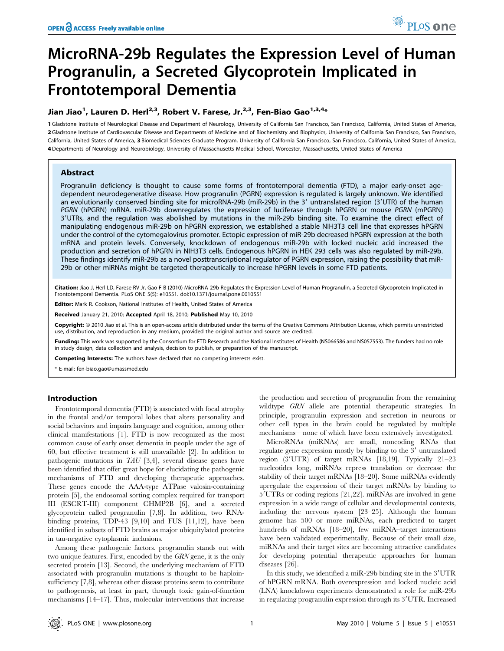# MicroRNA-29b Regulates the Expression Level of Human Progranulin, a Secreted Glycoprotein Implicated in Frontotemporal Dementia

# Jian Jiao<sup>1</sup>, Lauren D. Herl<sup>2,3</sup>, Robert V. Farese, Jr.<sup>2,3</sup>, Fen-Biao Gao<sup>1,3,4</sup>\*

1 Gladstone Institute of Neurological Disease and Department of Neurology, University of California San Francisco, San Francisco, California, United States of America, 2 Gladstone Institute of Cardiovascular Disease and Departments of Medicine and of Biochemistry and Biophysics, University of California San Francisco, San Francisco, California, United States of America, 3 Biomedical Sciences Graduate Program, University of California San Francisco, San Francisco, California, United States of America, 4 Departments of Neurology and Neurobiology, University of Massachusetts Medical School, Worcester, Massachusetts, United States of America

# Abstract

Progranulin deficiency is thought to cause some forms of frontotemporal dementia (FTD), a major early-onset agedependent neurodegenerative disease. How progranulin (PGRN) expression is regulated is largely unknown. We identified an evolutionarily conserved binding site for microRNA-29b (miR-29b) in the 3' untranslated region (3'UTR) of the human PGRN (hPGRN) mRNA. miR-29b downregulates the expression of luciferase through hPGRN or mouse PGRN (mPGRN) 3'UTRs, and the regulation was abolished by mutations in the miR-29b binding site. To examine the direct effect of manipulating endogenous miR-29b on hPGRN expression, we established a stable NIH3T3 cell line that expresses hPGRN under the control of the cytomegalovirus promoter. Ectopic expression of miR-29b decreased hPGRN expression at the both mRNA and protein levels. Conversely, knockdown of endogenous miR-29b with locked nucleic acid increased the production and secretion of hPGRN in NIH3T3 cells. Endogenous hPGRN in HEK 293 cells was also regulated by miR-29b. These findings identify miR-29b as a novel posttranscriptional regulator of PGRN expression, raising the possibility that miR-29b or other miRNAs might be targeted therapeutically to increase hPGRN levels in some FTD patients.

Citation: Jiao J, Herl LD, Farese RV Jr, Gao F-B (2010) MicroRNA-29b Regulates the Expression Level of Human Progranulin, a Secreted Glycoprotein Implicated in Frontotemporal Dementia. PLoS ONE 5(5): e10551. doi:10.1371/journal.pone.0010551

Editor: Mark R. Cookson, National Institutes of Health, United States of America

Received January 21, 2010; Accepted April 18, 2010; Published May 10, 2010

Copyright: © 2010 Jiao et al. This is an open-access article distributed under the terms of the Creative Commons Attribution License, which permits unrestricted use, distribution, and reproduction in any medium, provided the original author and source are credited.

Funding: This work was supported by the Consortium for FTD Research and the National Institutes of Health (NS066586 and NS057553). The funders had no role in study design, data collection and analysis, decision to publish, or preparation of the manuscript.

Competing Interests: The authors have declared that no competing interests exist.

\* E-mail: fen-biao.gao@umassmed.edu

### Introduction

Frontotemporal dementia (FTD) is associated with focal atrophy in the frontal and/or temporal lobes that alters personality and social behaviors and impairs language and cognition, among other clinical manifestations [1]. FTD is now recognized as the most common cause of early onset dementia in people under the age of 60, but effective treatment is still unavailable [2]. In addition to pathogenic mutations in TAU [3,4], several disease genes have been identified that offer great hope for elucidating the pathogenic mechanisms of FTD and developing therapeutic approaches. These genes encode the AAA-type ATPase valosin-containing protein [5], the endosomal sorting complex required for transport III (ESCRT-III) component CHMP2B [6], and a secreted glycoprotein called progranulin [7,8]. In addition, two RNAbinding proteins, TDP-43 [9,10] and FUS [11,12], have been identified in subsets of FTD brains as major ubiquitylated proteins in tau-negative cytoplasmic inclusions.

Among these pathogenic factors, progranulin stands out with two unique features. First, encoded by the GRN gene, it is the only secreted protein [13]. Second, the underlying mechanism of FTD associated with progranulin mutations is thought to be haploinsufficiency [7,8], whereas other disease proteins seem to contribute to pathogenesis, at least in part, through toxic gain-of-function mechanisms [14–17]. Thus, molecular interventions that increase the production and secretion of progranulin from the remaining wildtype GRN allele are potential therapeutic strategies. In principle, progranulin expression and secretion in neurons or other cell types in the brain could be regulated by multiple mechanisms—none of which have been extensively investigated.

MicroRNAs (miRNAs) are small, noncoding RNAs that regulate gene expression mostly by binding to the 3' untranslated region  $(3'UTR)$  of target mRNAs [18,19]. Typically  $21-23$ nucleotides long, miRNAs repress translation or decrease the stability of their target mRNAs [18–20]. Some miRNAs evidently upregulate the expression of their target mRNAs by binding to 5'UTRs or coding regions [21,22]. miRNAs are involved in gene expression in a wide range of cellular and developmental contexts, including the nervous system [23–25]. Although the human genome has 500 or more miRNAs, each predicted to target hundreds of mRNAs [18–20], few miRNA–target interactions have been validated experimentally. Because of their small size, miRNAs and their target sites are becoming attractive candidates for developing potential therapeutic approaches for human diseases [26].

In this study, we identified a miR-29b binding site in the 3'UTR of hPGRN mRNA. Both overexpression and locked nucleic acid (LNA) knockdown experiments demonstrated a role for miR-29b in regulating progranulin expression through its 3'UTR. Increased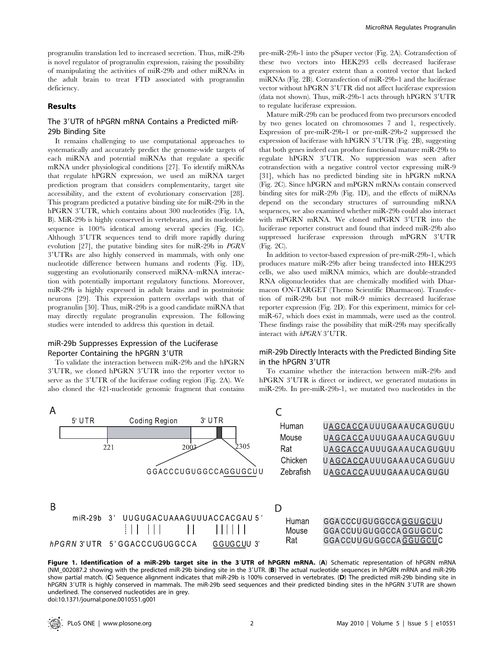progranulin translation led to increased secretion. Thus, miR-29b is novel regulator of progranulin expression, raising the possibility of manipulating the activities of miR-29b and other miRNAs in the adult brain to treat FTD associated with progranulin deficiency.

# Results

# The 3'UTR of hPGRN mRNA Contains a Predicted miR-29b Binding Site

It remains challenging to use computational approaches to systematically and accurately predict the genome-wide targets of each miRNA and potential miRNAs that regulate a specific mRNA under physiological conditions [27]. To identify miRNAs that regulate hPGRN expression, we used an miRNA target prediction program that considers complementarity, target site accessibility, and the extent of evolutionary conservation [28]. This program predicted a putative binding site for miR-29b in the hPGRN 3'UTR, which contains about 300 nucleotides (Fig. 1A, B). MiR-29b is highly conserved in vertebrates, and its nucleotide sequence is 100% identical among several species (Fig. 1C). Although 3'UTR sequences tend to drift more rapidly during evolution [27], the putative binding sites for miR-29b in PGRN 39UTRs are also highly conserved in mammals, with only one nucleotide difference between humans and rodents (Fig. 1D), suggesting an evolutionarily conserved miRNA–mRNA interaction with potentially important regulatory functions. Moreover, miR-29b is highly expressed in adult brains and in postmitotic neurons [29]. This expression pattern overlaps with that of progranulin [30]. Thus, miR-29b is a good candidate miRNA that may directly regulate progranulin expression. The following studies were intended to address this question in detail.

# miR-29b Suppresses Expression of the Luciferase Reporter Containing the hPGRN 3'UTR

To validate the interaction between miR-29b and the hPGRN 3'UTR, we cloned hPGRN 3'UTR into the reporter vector to serve as the 3'UTR of the luciferase coding region (Fig. 2A). We also cloned the 421-nucleotide genomic fragment that contains pre-miR-29b-1 into the pSuper vector (Fig. 2A). Cotransfection of these two vectors into HEK293 cells decreased luciferase expression to a greater extent than a control vector that lacked miRNAs (Fig. 2B). Cotransfection of miR-29b-1 and the luciferase vector without hPGRN 3'UTR did not affect luciferase expression (data not shown). Thus, miR-29b-1 acts through hPGRN  $3'UTR$ to regulate luciferase expression.

Mature miR-29b can be produced from two precursors encoded by two genes located on chromosomes 7 and 1, respectively. Expression of pre-miR-29b-1 or pre-miR-29b-2 suppressed the expression of luciferase with hPGRN  $3'UTR$  (Fig. 2B), suggesting that both genes indeed can produce functional mature miR-29b to regulate hPGRN 3'UTR. No suppression was seen after cotransfection with a negative control vector expressing miR-9 [31], which has no predicted binding site in hPGRN mRNA (Fig. 2C). Since hPGRN and mPGRN mRNAs contain conserved binding sites for miR-29b (Fig. 1D), and the effects of miRNAs depend on the secondary structures of surrounding mRNA sequences, we also examined whether miR-29b could also interact with mPGRN mRNA. We cloned mPGRN 3'UTR into the luciferase reporter construct and found that indeed miR-29b also suppressed luciferase expression through mPGRN 3'UTR (Fig. 2C).

In addition to vector-based expression of pre-miR-29b-1, which produces mature miR-29b after being transfected into HEK293 cells, we also used miRNA mimics, which are double-stranded RNA oligonucleotides that are chemically modified with Dharmacon ON-TARGET (Themo Scientific Dharmacon). Transfection of miR-29b but not miR-9 mimics decreased luciferase reporter expression (Fig. 2D). For this experiment, mimics for celmiR-67, which does exist in mammals, were used as the control. These findings raise the possibility that miR-29b may specifically interact with hPGRN 3'UTR.

# miR-29b Directly Interacts with the Predicted Binding Site in the hPGRN 3'UTR

To examine whether the interaction between miR-29b and hPGRN 3'UTR is direct or indirect, we generated mutations in miR-29b. In pre-miR-29b-1, we mutated two nucleotides in the



Figure 1. Identification of a miR-29b target site in the 3'UTR of hPGRN mRNA. (A) Schematic representation of hPGRN mRNA (NM\_002087.2 showing with the predicted miR-29b binding site in the 39UTR. (B) The actual nucleotide sequences in hPGRN mRNA and miR-29b show partial match. (C) Sequence alignment indicates that miR-29b is 100% conserved in vertebrates. (D) The predicted miR-29b binding site in hPGRN 3'UTR is highly conserved in mammals. The miR-29b seed sequences and their predicted binding sites in the hPGRN 3'UTR are shown underlined. The conserved nucleotides are in grey. doi:10.1371/journal.pone.0010551.g001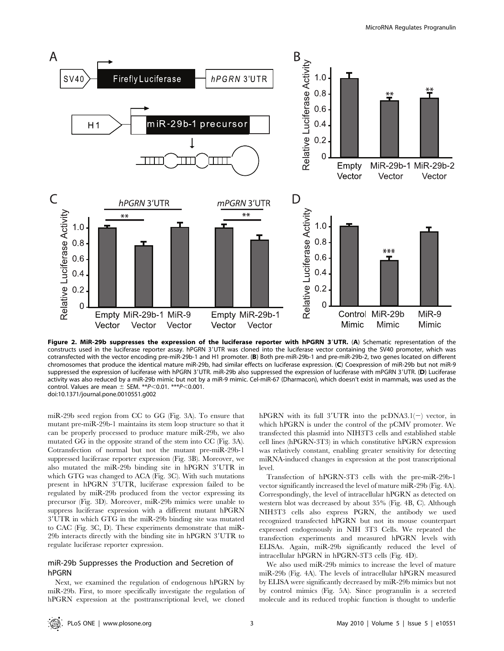

Figure 2. MiR-29b suppresses the expression of the luciferase reporter with hPGRN 3'UTR. (A) Schematic representation of the constructs used in the luciferase reporter assay. hPGRN 3'UTR was cloned into the luciferase vector containing the SV40 promoter, which was cotransfected with the vector encoding pre-miR-29b-1 and H1 promoter. (B) Both pre-miR-29b-1 and pre-miR-29b-2, two genes located on different chromosomes that produce the identical mature miR-29b, had similar effects on luciferase expression. (C) Coexpression of miR-29b but not miR-9 suppressed the expression of luciferase with hPGRN 3'UTR. miR-29b also suppressed the expression of luciferase with mPGRN 3'UTR. (D) Luciferase activity was also reduced by a miR-29b mimic but not by a miR-9 mimic. Cel-miR-67 (Dharmacon), which doesn't exist in mammals, was used as the control. Values are mean  $\pm$  SEM. \*\* $P$ <0.01. \*\*\* $P$ <0.001. doi:10.1371/journal.pone.0010551.g002

miR-29b seed region from CC to GG (Fig. 3A). To ensure that mutant pre-miR-29b-1 maintains its stem loop structure so that it can be properly processed to produce mature miR-29b, we also mutated GG in the opposite strand of the stem into CC (Fig. 3A). Cotransfection of normal but not the mutant pre-miR-29b-1 suppressed luciferase reporter expression (Fig. 3B). Moreover, we also mutated the miR-29b binding site in hPGRN 3'UTR in which GTG was changed to ACA (Fig. 3C). With such mutations present in hPGRN 3'UTR, luciferase expression failed to be regulated by miR-29b produced from the vector expressing its precursor (Fig. 3D). Moreover, miR-29b mimics were unable to suppress luciferase expression with a different mutant hPGRN 3'UTR in which GTG in the miR-29b binding site was mutated to CAC (Fig. 3C, D). These experiments demonstrate that miR-29b interacts directly with the binding site in hPGRN 3'UTR to regulate luciferase reporter expression.

# miR-29b Suppresses the Production and Secretion of hPGRN

Next, we examined the regulation of endogenous hPGRN by miR-29b. First, to more specifically investigate the regulation of hPGRN expression at the posttranscriptional level, we cloned hPGRN with its full 3'UTR into the pcDNA3.1(-) vector, in which hPGRN is under the control of the pCMV promoter. We transfected this plasmid into NIH3T3 cells and established stable cell lines (hPGRN-3T3) in which constitutive hPGRN expression was relatively constant, enabling greater sensitivity for detecting miRNA-induced changes in expression at the post transcriptional level.

Transfection of hPGRN-3T3 cells with the pre-miR-29b-1 vector significantly increased the level of mature miR-29b (Fig. 4A). Correspondingly, the level of intracellular hPGRN as detected on western blot was decreased by about 35% (Fig. 4B, C). Although NIH3T3 cells also express PGRN, the antibody we used recognized transfected hPGRN but not its mouse counterpart expressed endogenously in NIH 3T3 Cells. We repeated the transfection experiments and measured hPGRN levels with ELISAs. Again, miR-29b significantly reduced the level of intracellular hPGRN in hPGRN-3T3 cells (Fig. 4D).

We also used miR-29b mimics to increase the level of mature miR-29b (Fig. 4A). The levels of intracellular hPGRN measured by ELISA were significantly decreased by miR-29b mimics but not by control mimics (Fig. 5A). Since progranulin is a secreted molecule and its reduced trophic function is thought to underlie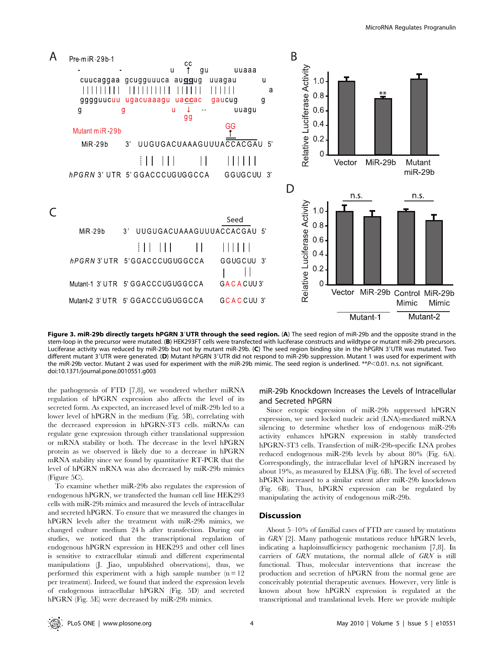

Figure 3. miR-29b directly targets hPGRN 3'UTR through the seed region. (A) The seed region of miR-29b and the opposite strand in the stem-loop in the precursor were mutated. (B) HEK293FT cells were transfected with luciferase constructs and wildtype or mutant miR-29b precursors. Luciferase activity was reduced by miR-29b but not by mutant miR-29b. (C) The seed region binding site in the hPGRN 3'UTR was mutated. Two different mutant 3'UTR were generated. (D) Mutant hPGRN 3'UTR did not respond to miR-29b suppression. Mutant 1 was used for experiment with the miR-29b vector. Mutant 2 was used for experiment with the miR-29b mimic. The seed region is underlined. \*\*P<0.01. n.s. not significant. doi:10.1371/journal.pone.0010551.g003

the pathogenesis of FTD [7,8], we wondered whether miRNA regulation of hPGRN expression also affects the level of its secreted form. As expected, an increased level of miR-29b led to a lower level of hPGRN in the medium (Fig. 5B), correlating with the decreased expression in hPGRN-3T3 cells. miRNAs can regulate gene expression through either translational suppression or mRNA stability or both. The decrease in the level hPGRN protein as we observed is likely due to a decrease in hPGRN mRNA stability since we found by quantitative RT-PCR that the level of hPGRN mRNA was also decreased by miR-29b mimics (Figure 5C).

To examine whether miR-29b also regulates the expression of endogenous hPGRN, we transfected the human cell line HEK293 cells with miR-29b mimics and measured the levels of intracellular and secreted hPGRN. To ensure that we measured the changes in hPGRN levels after the treatment with miR-29b mimics, we changed culture medium 24 h after transfection. During our studies, we noticed that the transcriptional regulation of endogenous hPGRN expression in HEK293 and other cell lines is sensitive to extracellular stimuli and different experimental manipulations (J. Jiao, unpublished observations), thus, we performed this experiment with a high sample number  $(n = 12)$ per treatment). Indeed, we found that indeed the expression levels of endogenous intracellular hPGRN (Fig. 5D) and secreted hPGRN (Fig. 5E) were decreased by miR-29b mimics.

# miR-29b Knockdown Increases the Levels of Intracellular and Secreted hPGRN

Since ectopic expression of miR-29b suppressed hPGRN expression, we used locked nucleic acid (LNA)-mediated miRNA silencing to determine whether loss of endogenous miR-29b activity enhances hPGRN expression in stably transfected hPGRN-3T3 cells. Transfection of miR-29b-specific LNA probes reduced endogenous miR-29b levels by about 80% (Fig. 6A). Correspondingly, the intracellular level of hPGRN increased by about 19%, as measured by ELISA (Fig. 6B). The level of secreted hPGRN increased to a similar extent after miR-29b knockdown (Fig. 6B). Thus, hPGRN expression can be regulated by manipulating the activity of endogenous miR-29b.

#### **Discussion**

About 5–10% of familial cases of FTD are caused by mutations in GRN [2]. Many pathogenic mutations reduce hPGRN levels, indicating a haploinsufficiency pathogenic mechanism [7,8]. In carriers of GRN mutations, the normal allele of GRN is still functional. Thus, molecular interventions that increase the production and secretion of hPGRN from the normal gene are conceivably potential therapeutic avenues. However, very little is known about how hPGRN expression is regulated at the transcriptional and translational levels. Here we provide multiple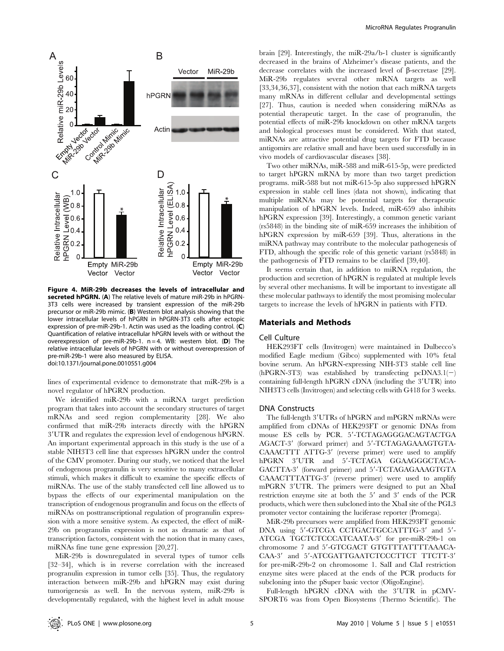

Figure 4. MiR-29b decreases the levels of intracellular and secreted hPGRN. (A) The relative levels of mature miR-29b in hPGRN-3T3 cells were increased by transient expression of the miR-29b precursor or miR-29b mimic. (B) Western blot analysis showing that the lower intracellular levels of hPGRN in hPGRN-3T3 cells after ectopic expression of pre-miR-29b-1. Actin was used as the loading control. (C) Quantification of relative intracellular hPGRN levels with or without the overexpression of pre-miR-29b-1.  $n = 4$ . WB: western blot. (D) The relative intracellular levels of hPGRN with or without overexpression of pre-miR-29b-1 were also measured by ELISA. doi:10.1371/journal.pone.0010551.g004

lines of experimental evidence to demonstrate that miR-29b is a novel regulator of hPGRN production.

We identified miR-29b with a miRNA target prediction program that takes into account the secondary structures of target mRNAs and seed region complementarity [28]. We also confirmed that miR-29b interacts directly with the hPGRN 39UTR and regulates the expression level of endogenous hPGRN. An important experimental approach in this study is the use of a stable NIH3T3 cell line that expresses hPGRN under the control of the CMV promoter. During our study, we noticed that the level of endogenous progranulin is very sensitive to many extracellular stimuli, which makes it difficult to examine the specific effects of miRNAs. The use of the stably transfected cell line allowed us to bypass the effects of our experimental manipulation on the transcription of endogenous progranulin and focus on the effects of miRNAs on posttranscriptional regulation of progranulin expression with a more sensitive system. As expected, the effect of miR-29b on progranulin expression is not as dramatic as that of transcription factors, consistent with the notion that in many cases, miRNAs fine tune gene expression [20,27].

MiR-29b is downregulated in several types of tumor cells [32–34], which is in reverse correlation with the increased progranulin expression in tumor cells [35]. Thus, the regulatory interaction between miR-29b and hPGRN may exist during tumorigenesis as well. In the nervous system, miR-29b is developmentally regulated, with the highest level in adult mouse

brain [29]. Interestingly, the miR-29a/b-1 cluster is significantly decreased in the brains of Alzheimer's disease patients, and the decrease correlates with the increased level of  $\beta$ -secretase [29]. MiR-29b regulates several other mRNA targets as well [33,34,36,37], consistent with the notion that each miRNA targets many mRNAs in different cellular and developmental settings [27]. Thus, caution is needed when considering miRNAs as potential therapeutic target. In the case of progranulin, the potential effects of miR-29b knockdown on other mRNA targets and biological processes must be considered. With that stated, miRNAs are attractive potential drug targets for FTD because antigomirs are relative small and have been used successfully in in vivo models of cardiovascular diseases [38].

Two other miRNAs, miR-588 and miR-615-5p, were predicted to target hPGRN mRNA by more than two target prediction programs. miR-588 but not miR-615-5p also suppressed hPGRN expression in stable cell lines (data not shown), indicating that multiple miRNAs may be potential targets for therapeutic manipulation of hPGRN levels. Indeed, miR-659 also inhibits hPGRN expression [39]. Interestingly, a common genetic variant (rs5848) in the binding site of miR-659 increases the inhibition of hPGRN expression by miR-659 [39]. Thus, alterations in the miRNA pathway may contribute to the molecular pathogenesis of FTD, although the specific role of this genetic variant (rs5848) in the pathogenesis of FTD remains to be clarified [39,40].

It seems certain that, in addition to miRNA regulation, the production and secretion of hPGRN is regulated at multiple levels by several other mechanisms. It will be important to investigate all these molecular pathways to identify the most promising molecular targets to increase the levels of hPGRN in patients with FTD.

#### Materials and Methods

#### Cell Culture

HEK293FT cells (Invitrogen) were maintained in Dulbecco's modified Eagle medium (Gibco) supplemented with 10% fetal bovine serum. An hPGRN-expressing NIH-3T3 stable cell line (hPGRN-3T3) was established by transfecting  $pcDNA3.1(-)$ containing full-length hPGRN cDNA (including the 3'UTR) into NIH3T3 cells (Invitrogen) and selecting cells with G418 for 3 weeks.

#### DNA Constructs

The full-length 3'UTRs of hPGRN and mPGRN mRNAs were amplified from cDNAs of HEK293FT or genomic DNAs from mouse ES cells by PCR. 5'-TCTAGAGGGACAGTACTGA AGACT-3' (forward primer) and 5'-TCTAGAGAAAGTGTA-CAAACTTT ATTG-3' (reverse primer) were used to amplify hPGRN 3'UTR and 5'-TCTAGA GGAAGGGCTACA-GACTTA-3' (forward primer) and 5'-TCTAGAGAAAGTGTA CAAACTTTATTG-3' (reverse primer) were used to amplify mPGRN 3'UTR. The primers were designed to put an XbaI restriction enzyme site at both the  $5'$  and  $3'$  ends of the PCR products, which were then subcloned into the XbaI site of the PGL3 promoter vector containing the luciferase reporter (Promega).

MiR-29b precursors were amplified from HEK293FT genomic DNA using 5'-GTCGA CCTGACTGCCATTTG-3' and 5'-ATCGA TGCTCTCCCATCAATA-3' for pre-miR-29b-1 on chromosome 7 and 5'-GTCGACT GTGTTTATTTTAAACA-CAA-3' and 5'-ATCGATTGAATCTCCCTTCT TTCTT-3' for pre-miR-29b-2 on chromosome 1. SalI and ClaI restriction enzyme sites were placed at the ends of the PCR products for subcloning into the pSuper basic vector (OligoEngine).

Full-length hPGRN cDNA with the 3'UTR in pCMV-SPORT6 was from Open Biosystems (Thermo Scientific). The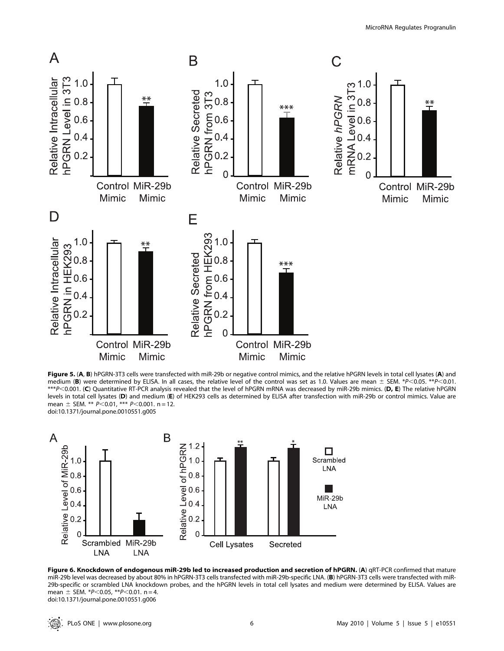

Figure 5. (A, B) hPGRN-3T3 cells were transfected with miR-29b or negative control mimics, and the relative hPGRN levels in total cell lysates (A) and medium (B) were determined by ELISA. In all cases, the relative level of the control was set as 1.0. Values are mean  $\pm$  SEM. \*P<0.05. \*\*P<0.01. \*\*\*P<0.001. (C) Quantitative RT-PCR analysis revealed that the level of hPGRN mRNA was decreased by miR-29b mimics. (D, E) The relative hPGRN levels in total cell lysates (D) and medium (E) of HEK293 cells as determined by ELISA after transfection with miR-29b or control mimics. Value are mean  $\pm$  SEM. \*\*  $P$ <0.01, \*\*\* P<0.001. n = 12. doi:10.1371/journal.pone.0010551.g005



Figure 6. Knockdown of endogenous miR-29b led to increased production and secretion of hPGRN. (A) qRT-PCR confirmed that mature miR-29b level was decreased by about 80% in hPGRN-3T3 cells transfected with miR-29b-specific LNA. (B) hPGRN-3T3 cells were transfected with miR-29b-specific or scrambled LNA knockdown probes, and the hPGRN levels in total cell lysates and medium were determined by ELISA. Values are mean  $\pm$  SEM. \*P<0.05, \*\*P<0.01. n = 4. doi:10.1371/journal.pone.0010551.g006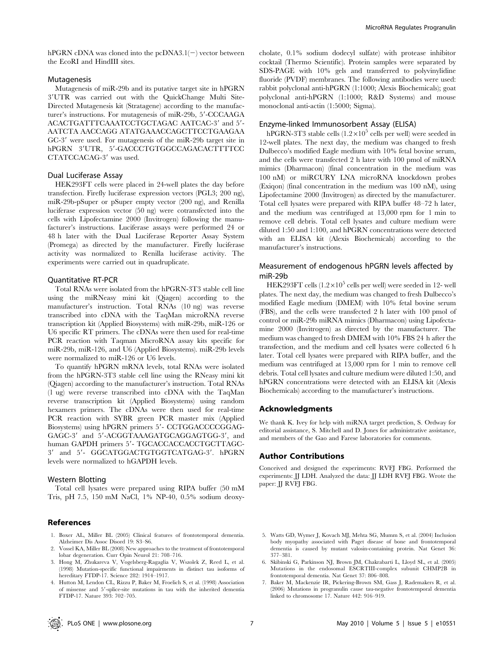hPGRN cDNA was cloned into the pcDNA3.1( $-$ ) vector between the EcoRI and HindIII sites.

# Mutagenesis

Mutagenesis of miR-29b and its putative target site in hPGRN 39UTR was carried out with the QuickChange Multi Site-Directed Mutagenesis kit (Stratagene) according to the manufacturer's instructions. For mutagenesis of miR-29b, 5'-CCCAAGA ACACTGATTTCAAATCCTGCTAGAC AATCAC-3' and 5'-AATCTA AACCAGG ATATGAAACCAGCTTCCTGAAGAA GC-3' were used. For mutagenesis of the miR-29b target site in hPGRN 3'UTR, 5'-GACCCTGTGGCCAGACACTTTTCC CTATCCACAG-3' was used.

#### Dual Luciferase Assay

HEK293FT cells were placed in 24-well plates the day before transfection. Firefly luciferase expression vectors (PGL3; 200 ng), miR-29b-pSuper or pSuper empty vector (200 ng), and Renilla luciferase expression vector (50 ng) were cotransfected into the cells with Lipofectamine 2000 (Invitrogen) following the manufacturer's instructions. Luciferase assays were performed 24 or 48 h later with the Dual Luciferase Reporter Assay System (Promega) as directed by the manufacturer. Firefly luciferase activity was normalized to Renilla luciferase activity. The experiments were carried out in quadruplicate.

#### Quantitative RT-PCR

Total RNAs were isolated from the hPGRN-3T3 stable cell line using the miRNeasy mini kit (Qiagen) according to the manufacturer's instruction. Total RNAs (10 ng) was reverse transcribed into cDNA with the TaqMan microRNA reverse transcription kit (Applied Biosystems) with miR-29b, miR-126 or U6 specific RT primers. The cDNAs were then used for real-time PCR reaction with Taqman MicroRNA assay kits specific for miR-29b, miR-126, and U6 (Applied Biosystems). miR-29b levels were normalized to miR-126 or U6 levels.

To quantify hPGRN mRNA levels, total RNAs were isolated from the hPGRN-3T3 stable cell line using the RNeasy mini kit (Qiagen) according to the manufacturer's instruction. Total RNAs (1 ug) were reverse transcribed into cDNA with the TaqMan reverse transcription kit (Applied Biosystems) using random hexamers primers. The cDNAs were then used for real-time PCR reaction with SYBR green PCR master mix (Applied Biosystems) using hPGRN primers 5'- CCTGGACCCCGGAG-GAGC-3' and 5'-ACGGTAAAGATGCAGGAGTGG-3', and human GAPDH primers 5'- TGCACCACCACCTGCTTAGC-3' and 5'- GGCATGGACTGTGGTCATGAG-3'. hPGRN levels were normalized to hGAPDH levels.

# Western Blotting

Total cell lysates were prepared using RIPA buffer (50 mM Tris, pH 7.5, 150 mM NaCl, 1% NP-40, 0.5% sodium deoxy-

#### References

- 1. Boxer AL, Miller BL (2005) Clinical features of frontotemporal dementia. Alzheimer Dis Assoc Disord 19: S3–S6.
- 2. Vossel KA, Miller BL (2008) New approaches to the treatment of frontotemporal lobar degeneration. Curr Opin Neurol 21: 708–716.
- 3. Hong M, Zhukareva V, Vogelsberg-Ragaglia V, Wszolek Z, Reed L, et al. (1998) Mutation-specific functional impairments in distinct tau isoforms of hereditary FTDP-17. Science 282: 1914–1917.
- 4. Hutton M, Lendon CL, Rizzu P, Baker M, Froelich S, et al. (1998) Association of missense and 5'-splice-site mutations in tau with the inherited dementia FTDP-17. Nature 393: 702–705.

cholate, 0.1% sodium dodecyl sulfate) with protease inhibitor cocktail (Thermo Scientific). Protein samples were separated by SDS-PAGE with 10% gels and transferred to polyvinylidine fluoride (PVDF) membranes. The following antibodies were used: rabbit polyclonal anti-hPGRN (1:1000; Alexis Biochemicals); goat polyclonal anti-hPGRN (1:1000; R&D Systems) and mouse monoclonal anti-actin (1:5000; Sigma).

#### Enzyme-linked Immunosorbent Assay (ELISA)

hPGRN-3T3 stable cells  $(1.2 \times 10^5 \text{ cells per well})$  were seeded in 12-well plates. The next day, the medium was changed to fresh Dulbecco's modified Eagle medium with 10% fetal bovine serum, and the cells were transfected 2 h later with 100 pmol of miRNA mimics (Dharmacon) (final concentration in the medium was 100 nM) or miRCURY LNA microRNA knockdown probes (Exiqon) (final concentration in the medium was 100 nM), using Lipofectamine 2000 (Invitrogen) as directed by the manufacturer. Total cell lysates were prepared with RIPA buffer 48–72 h later, and the medium was centrifuged at 13,000 rpm for 1 min to remove cell debris. Total cell lysates and culture medium were diluted 1:50 and 1:100, and hPGRN concentrations were detected with an ELISA kit (Alexis Biochemicals) according to the manufacturer's instructions.

# Measurement of endogenous hPGRN levels affected by miR-29b

HEK293FT cells  $(1.2\times10^5$  cells per well) were seeded in 12- well plates. The next day, the medium was changed to fresh Dulbecco's modified Eagle medium (DMEM) with 10% fetal bovine serum (FBS), and the cells were transfected 2 h later with 100 pmol of control or miR-29b miRNA mimics (Dharmacon) using Lipofectamine 2000 (Invitrogen) as directed by the manufacturer. The medium was changed to fresh DMEM with 10% FBS 24 h after the transfection, and the medium and cell lysates were collected 6 h later. Total cell lysates were prepared with RIPA buffer, and the medium was centrifuged at 13,000 rpm for 1 min to remove cell debris. Total cell lysates and culture medium were diluted 1:50, and hPGRN concentrations were detected with an ELISA kit (Alexis Biochemicals) according to the manufacturer's instructions.

#### Acknowledgments

We thank K. Ivey for help with miRNA target prediction, S. Ordway for editorial assistance, S. Mitchell and D. Jones for administrative assistance, and members of the Gao and Farese laboratories for comments.

### Author Contributions

Conceived and designed the experiments: RVFJ FBG. Performed the experiments: JJ LDH. Analyzed the data: JJ LDH RVFJ FBG. Wrote the paper: JJ RVFJ FBG.

- 5. Watts GD, Wymer J, Kovach MJ, Mehta SG, Mumm S, et al. (2004) Inclusion body myopathy associated with Paget disease of bone and frontotemporal dementia is caused by mutant valosin-containing protein. Nat Genet 36: 377–381.
- 6. Skibinski G, Parkinson NJ, Brown JM, Chakrabarti L, Lloyd SL, et al. (2005) Mutations in the endosomal ESCRTIII-complex subunit CHMP2B in frontotemporal dementia. Nat Genet 37: 806–808.
- 7. Baker M, Mackenzie IR, Pickering-Brown SM, Gass J, Rademakers R, et al. (2006) Mutations in progranulin cause tau-negative frontotemporal dementia linked to chromosome 17. Nature 442: 916–919.